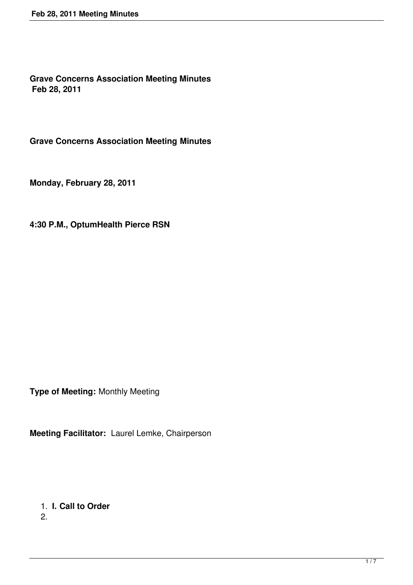**Grave Concerns Association Meeting Minutes Feb 28, 2011**

**Grave Concerns Association Meeting Minutes**

**Monday, February 28, 2011**

**4:30 P.M., OptumHealth Pierce RSN**

**Type of Meeting:** Monthly Meeting

**Meeting Facilitator:** Laurel Lemke, Chairperson

1. **I. Call to Order**

2.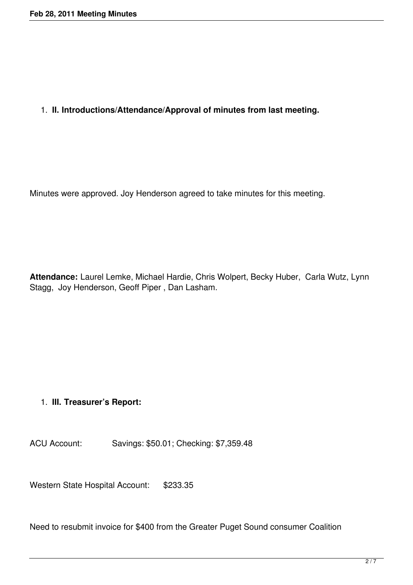## 1. **II. Introductions/Attendance/Approval of minutes from last meeting.**

Minutes were approved. Joy Henderson agreed to take minutes for this meeting.

**Attendance:** Laurel Lemke, Michael Hardie, Chris Wolpert, Becky Huber, Carla Wutz, Lynn Stagg, Joy Henderson, Geoff Piper , Dan Lasham.

#### 1. **III. Treasurer's Report:**

ACU Account: Savings: \$50.01; Checking: \$7,359.48

Western State Hospital Account: \$233.35

Need to resubmit invoice for \$400 from the Greater Puget Sound consumer Coalition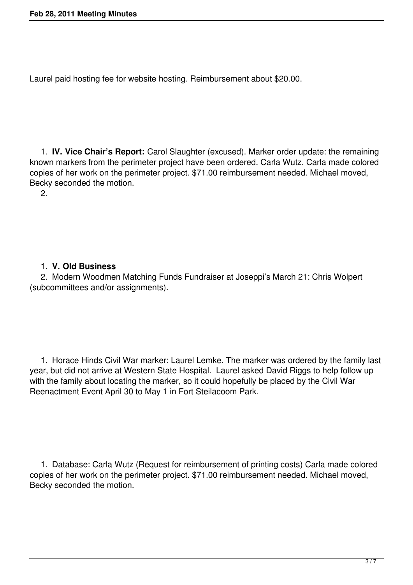Laurel paid hosting fee for website hosting. Reimbursement about \$20.00.

 1. **IV. Vice Chair's Report:** Carol Slaughter (excused). Marker order update: the remaining known markers from the perimeter project have been ordered. Carla Wutz. Carla made colored copies of her work on the perimeter project. \$71.00 reimbursement needed. Michael moved, Becky seconded the motion.

2.

## 1. **V. Old Business**

 2. Modern Woodmen Matching Funds Fundraiser at Joseppi's March 21: Chris Wolpert (subcommittees and/or assignments).

 1. Horace Hinds Civil War marker: Laurel Lemke. The marker was ordered by the family last year, but did not arrive at Western State Hospital. Laurel asked David Riggs to help follow up with the family about locating the marker, so it could hopefully be placed by the Civil War Reenactment Event April 30 to May 1 in Fort Steilacoom Park.

 1. Database: Carla Wutz (Request for reimbursement of printing costs) Carla made colored copies of her work on the perimeter project. \$71.00 reimbursement needed. Michael moved, Becky seconded the motion.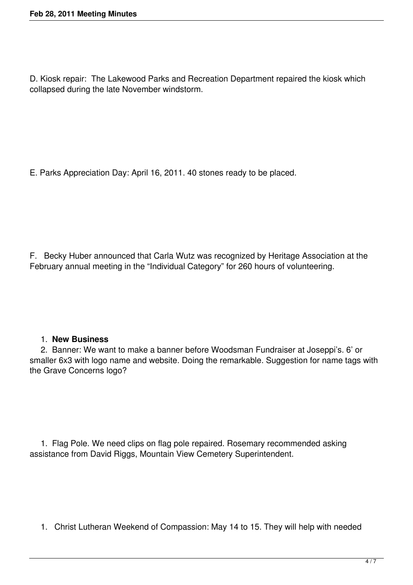D. Kiosk repair: The Lakewood Parks and Recreation Department repaired the kiosk which collapsed during the late November windstorm.

E. Parks Appreciation Day: April 16, 2011. 40 stones ready to be placed.

F. Becky Huber announced that Carla Wutz was recognized by Heritage Association at the February annual meeting in the "Individual Category" for 260 hours of volunteering.

#### 1. **New Business**

 2. Banner: We want to make a banner before Woodsman Fundraiser at Joseppi's. 6' or smaller 6x3 with logo name and website. Doing the remarkable. Suggestion for name tags with the Grave Concerns logo?

 1. Flag Pole. We need clips on flag pole repaired. Rosemary recommended asking assistance from David Riggs, Mountain View Cemetery Superintendent.

1. Christ Lutheran Weekend of Compassion: May 14 to 15. They will help with needed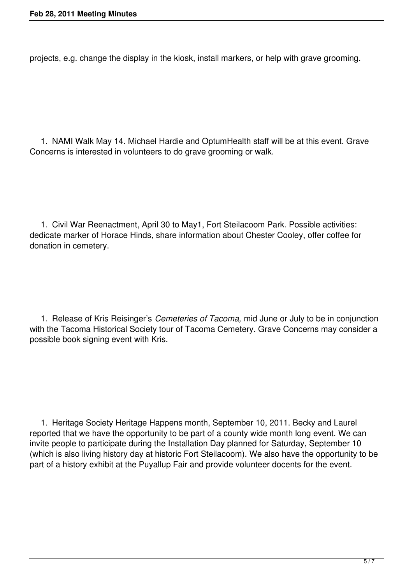projects, e.g. change the display in the kiosk, install markers, or help with grave grooming.

 1. NAMI Walk May 14. Michael Hardie and OptumHealth staff will be at this event. Grave Concerns is interested in volunteers to do grave grooming or walk.

 1. Civil War Reenactment, April 30 to May1, Fort Steilacoom Park. Possible activities: dedicate marker of Horace Hinds, share information about Chester Cooley, offer coffee for donation in cemetery.

 1. Release of Kris Reisinger's *Cemeteries of Tacoma,* mid June or July to be in conjunction with the Tacoma Historical Society tour of Tacoma Cemetery. Grave Concerns may consider a possible book signing event with Kris.

 1. Heritage Society Heritage Happens month, September 10, 2011. Becky and Laurel reported that we have the opportunity to be part of a county wide month long event. We can invite people to participate during the Installation Day planned for Saturday, September 10 (which is also living history day at historic Fort Steilacoom). We also have the opportunity to be part of a history exhibit at the Puyallup Fair and provide volunteer docents for the event.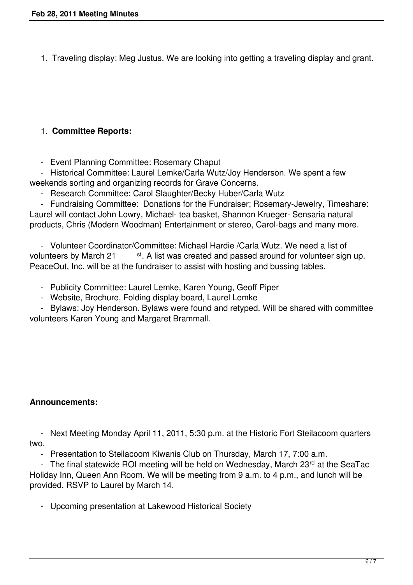1. Traveling display: Meg Justus. We are looking into getting a traveling display and grant.

# 1. **Committee Reports:**

- Event Planning Committee: Rosemary Chaput

 - Historical Committee: Laurel Lemke/Carla Wutz/Joy Henderson. We spent a few weekends sorting and organizing records for Grave Concerns.

- Research Committee: Carol Slaughter/Becky Huber/Carla Wutz

 - Fundraising Committee: Donations for the Fundraiser; Rosemary-Jewelry, Timeshare: Laurel will contact John Lowry, Michael- tea basket, Shannon Krueger- Sensaria natural products, Chris (Modern Woodman) Entertainment or stereo, Carol-bags and many more.

 - Volunteer Coordinator/Committee: Michael Hardie /Carla Wutz. We need a list of volunteers by March 21 st. A list was created and passed around for volunteer sign up. PeaceOut, Inc. will be at the fundraiser to assist with hosting and bussing tables.

- Publicity Committee: Laurel Lemke, Karen Young, Geoff Piper
- Website, Brochure, Folding display board, Laurel Lemke

 - Bylaws: Joy Henderson. Bylaws were found and retyped. Will be shared with committee volunteers Karen Young and Margaret Brammall.

# **Announcements:**

 - Next Meeting Monday April 11, 2011, 5:30 p.m. at the Historic Fort Steilacoom quarters two.

- Presentation to Steilacoom Kiwanis Club on Thursday, March 17, 7:00 a.m.

- The final statewide ROI meeting will be held on Wednesday, March 23rd at the SeaTac Holiday Inn, Queen Ann Room. We will be meeting from 9 a.m. to 4 p.m., and lunch will be provided. RSVP to Laurel by March 14.

- Upcoming presentation at Lakewood Historical Society